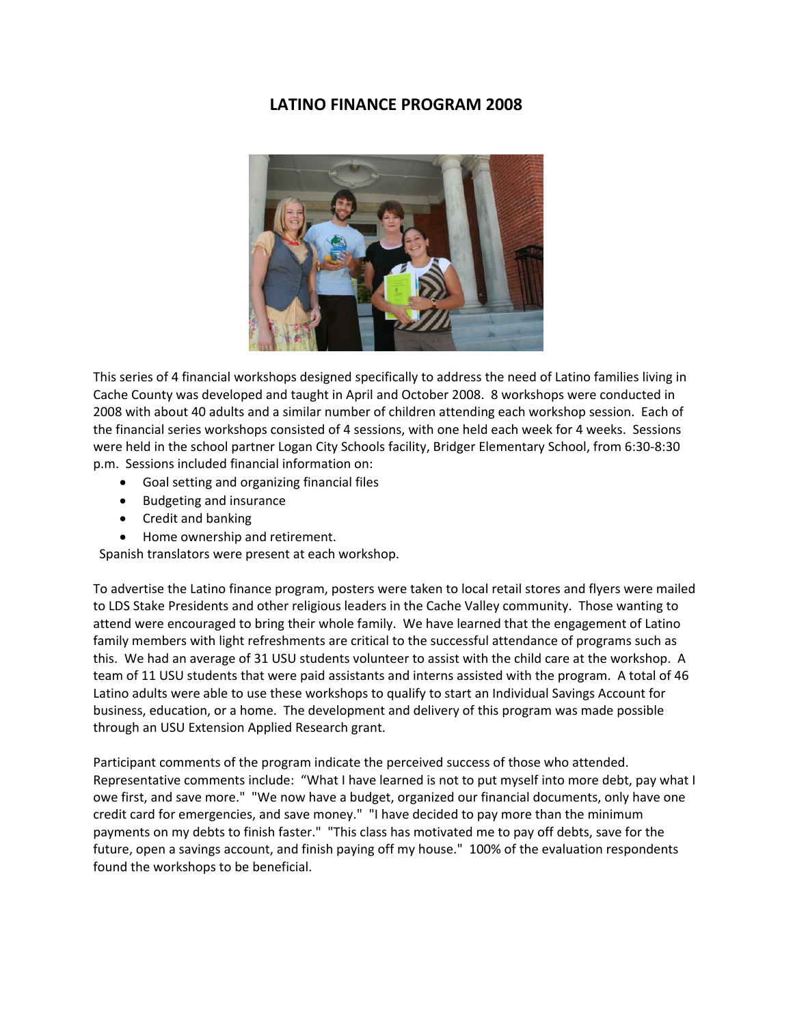## **LATINO FINANCE PROGRAM 2008**



This series of 4 financial workshops designed specifically to address the need of Latino families living in Cache County was developed and taught in April and October 2008. 8 workshops were conducted in 2008 with about 40 adults and a similar number of children attending each workshop session. Each of the financial series workshops consisted of 4 sessions, with one held each week for 4 weeks. Sessions were held in the school partner Logan City Schools facility, Bridger Elementary School, from 6:30‐8:30 p.m. Sessions included financial information on:

- Goal setting and organizing financial files
- Budgeting and insurance
- Credit and banking
- Home ownership and retirement.

Spanish translators were present at each workshop.

To advertise the Latino finance program, posters were taken to local retail stores and flyers were mailed to LDS Stake Presidents and other religious leaders in the Cache Valley community. Those wanting to attend were encouraged to bring their whole family. We have learned that the engagement of Latino family members with light refreshments are critical to the successful attendance of programs such as this. We had an average of 31 USU students volunteer to assist with the child care at the workshop. A team of 11 USU students that were paid assistants and interns assisted with the program. A total of 46 Latino adults were able to use these workshops to qualify to start an Individual Savings Account for business, education, or a home. The development and delivery of this program was made possible through an USU Extension Applied Research grant.

Participant comments of the program indicate the perceived success of those who attended. Representative comments include: "What I have learned is not to put myself into more debt, pay what I owe first, and save more." "We now have a budget, organized our financial documents, only have one credit card for emergencies, and save money." "I have decided to pay more than the minimum payments on my debts to finish faster." "This class has motivated me to pay off debts, save for the future, open a savings account, and finish paying off my house." 100% of the evaluation respondents found the workshops to be beneficial.